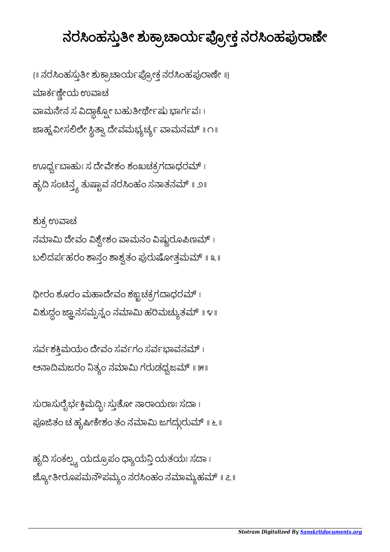## *Stotram Digitalized By [Sanskritdocuments.org](http://sanskritdocuments.org/)*

ಹೃದಿ ಸಂಕಲ್ಪ್ಯ ಯದ್ರೂಪಂ ಧ್ಯಾಯನ್ತಿ ಯತಯಃ ಸದಾ । ಜ್ಯೋತೀರೂಪಮನೌಪಮ್ಯಂ ನರಸಿಂಹಂ ನಮಾಮ್ಯಹಮ್ ॥ ೭॥

ಸುರಾಸುರೈರ್ಭಕ್ತಿಮೆದ್ಬೀ ಸ್ತುತೋ ನಾರಾಯಣಃ ಸದಾ । ಪೂಜಿತಂ ಚ ಹೃಷೀಕೇಶಂ ತಂ ನಮಾಮಿ ಜಗದ್ಗುರುಮ್ ॥ ೬ ॥

 $\vec{a}$ ಸರ್ವಶಕ್ತಿಮಯಂ ದೇವಂ ಸರ್ವಗಂ ಸರ್ವಭಾವನಮ್ । ಅನಾದಿಮಜರಂ ನಿತ್ಯಂ ನಮಾಮಿ ಗರುಡಧ್ವಜಮ್ ॥ ೫॥

ಧೀರಂ ಶೂರಂ ಮಹಾದೇವಂ ಶಙ್ಭಚಕ್ರಗದಾಧರಮ್ $\,$  ၊ ವಿಶುದ್ಧಂ ಜ್ಞಾನಸಮ್ಪನ್ನಂ ನಮಾಮಿ ಹರಿಮಚ್ಯುತಮ್ ॥ ೪॥

ಶುಕ್ರ ಉವಾಚ ನಮಾಮಿ ದೇವಂ ವಿಶ್ವೇಶಂ ವಾಮನಂ ವಿಷ್ಣುರೂಪಿಣಮ್ । ಬಲಿದರ್ಪಹರಂ ಶಾಸ್ತಂ ಶಾಶ್ವತಂ ಪುರುಷೋತ್ತಮಮ್ ॥ ೩ ॥

ಊರ್ಧ್ವಬಾಹುಃ ಸ ದೇವೇಶಂ ಶಂಖಚಕ್ರಗದಾಧರಮ್ । ಹೃದಿ ಸಂಚಿನ್ತ್ಯ ತುಷ್ಟಾವ ನರಸಿಂಹಂ ಸನಾತನಮ್ ॥ <mark>೨</mark>॥

{॥ ನರಸಿಂಹಸ್ತುತೀ ಶುಕ್ರಾಚಾರ್ಯಪ್ರೋಕ್ತ ನರಸಿಂಹಪುರಾಣೇ ॥} ಮಾರ್ಕಣ್ಣೀಯ ಉವಾಚ ವಾಮನೇನ ಸ ವಿದ್ದಾಕ್ಸೋ ಬಹುತೀರ್ಥೇಷು ಭಾರ್ಗವಃ । ಜಾಹ್ನವೀಸಲಿಲೇ ಸ್ಥಿತ್ವಾ ದೇವಮಭ್ಯರ್ಚ್ಯ ವಾಮನಮ್ ॥ ೧॥

## ನರಸಿಂಹಸ್ತುತೀ ಶುಕ್ರಾಚಾರ್ಯಪ್ರೋಕ್ತ ನರಸಿಂಹಪುರಾಣೀ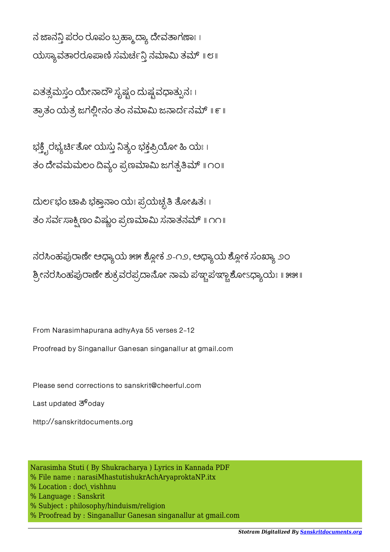ನ ಜಾನನ್ಗಿ ಪರಂ ರೂಪಂ ಬ್ರಹ್ಮಾದ್ಯಾ ದೇವತಾಗಣಾಃ । ಯಸ್ಯಾವತಾರರೂಪಾಣಿ ಸಮರ್ಚನ್ತಿ ನಮಾಮಿ ತಮ್ ॥ ೮॥

ಏತತ್ಸಮಸ್ತಂ ಯೇನಾದೌ ಸೃಷ್ಟಂ ದುಷ್ಟವಧಾತ್ಪುನಃ । ತ್ರಾತಂ ಯತ್ರ ಜಗಲ್ಲೀನಂ ತಂ ನಮಾಮಿ ಜನಾರ್ದನಮ್ ॥ ೯॥

ಭಕ್ತ್ವಿರಭ್ಯರ್ಚಿತೋ ಯಸ್ತು ನಿತ್ಯಂ ಭಕ್ತಪ್ರಿಯೋ ಹಿ ಯಃ । ತಂ ದೇವಮಮಲಂ ದಿವ್ಯಂ ಪ್ರಣಮಾಮಿ ಜಗತ್ಸತಿಮ್ ॥ ೧೦॥

ದುರ್ಲಭಂ ಚಾಪಿ ಭಕ್ತಾನಾಂ ಯಃ ಪ್ರಯಚ್ಛತಿ ತೋಷಿತಃ । ತಂ ಸರ್ವಸಾಕ್ಸಿಣಂ ವಿಷ್ಣುಂ ಪ್ರಣಮಾಮಿ ಸನಾತನಮ್ ॥ ೧೧॥

ನರಸಿಂಹಪುರಾಣೇ ಅಧ್ಯಾಯ ೫೫ ಶ್ಲೋಕ ೨-೧೨, ಅಧ್ಯಾಯ ಶ್ಲೋಕ ಸಂಖ್ಯಾ ೨೦ ಶ್ರೀನರಸಿಂಹಪುರಾಣೇ ಶುಕ್ರವರಪ್ರದಾನೋ ನಾಮ ಪಞ್ಚಪಞ್ಚಾಶೋಽಧ್ಯಾಯಃ ॥ ೫೫॥

From Narasimhapurana adhyAya 55 verses 2-12

Proofread by Singanallur Ganesan singanallur at gmail.com

Please send corrections to sanskrit@cheerful.com

Last updated  $\overline{3}^6$ odav

http://sanskritdocuments.org

Narasimha Stuti ( By Shukracharya ) Lyrics in Kannada PDF % File name : narasiMhastutishukrAchAryaproktaNP.itx % Location : doc\ vishhnu % Language : Sanskrit % Subject : philosophy/hinduism/religion % Proofread by : Singanallur Ganesan singanallur at gmail.com